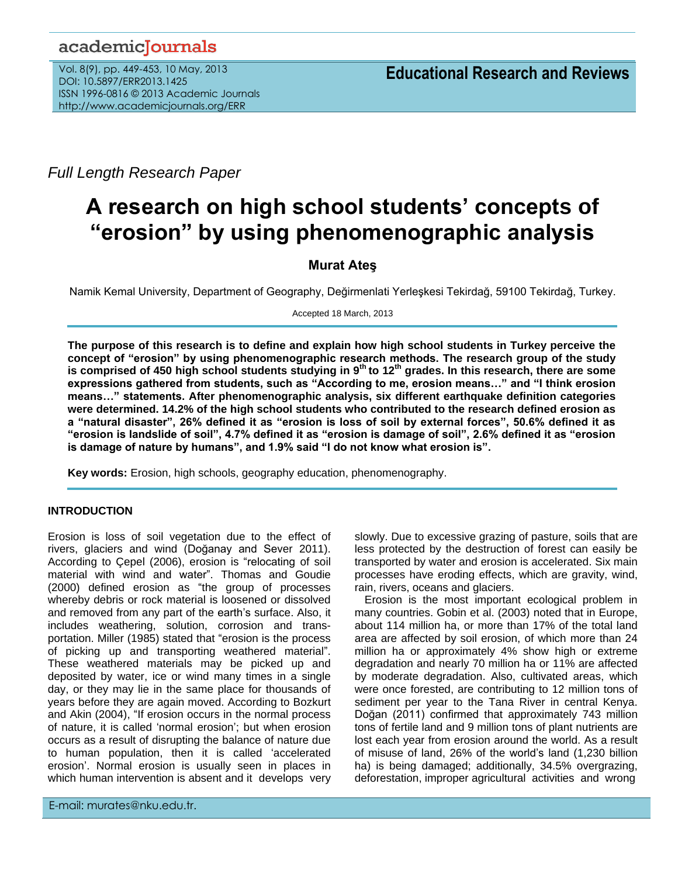*Full Length Research Paper*

# **A research on high school students' concepts of "erosion" by using phenomenographic analysis**

# **Murat Ateş**

Namik Kemal University, Department of Geography, Değirmenlati Yerleşkesi Tekirdağ, 59100 Tekirdağ, Turkey.

Accepted 18 March, 2013

**The purpose of this research is to define and explain how high school students in Turkey perceive the concept of "erosion" by using phenomenographic research methods. The research group of the study is comprised of 450 high school students studying in 9th to 12th grades. In this research, there are some expressions gathered from students, such as "According to me, erosion means…" and "I think erosion means…" statements. After phenomenographic analysis, six different earthquake definition categories were determined. 14.2% of the high school students who contributed to the research defined erosion as a "natural disaster", 26% defined it as "erosion is loss of soil by external forces", 50.6% defined it as "erosion is landslide of soil", 4.7% defined it as "erosion is damage of soil", 2.6% defined it as "erosion is damage of nature by humans", and 1.9% said "I do not know what erosion is".**

**Key words:** Erosion, high schools, geography education, phenomenography.

# **INTRODUCTION**

Erosion is loss of soil vegetation due to the effect of rivers, glaciers and wind (Doğanay and Sever 2011). According to Çepel (2006), erosion is "relocating of soil material with wind and water". Thomas and Goudie (2000) defined erosion as "the group of processes whereby debris or rock material is loosened or dissolved and removed from any part of the earth's surface. Also, it includes weathering, solution, corrosion and transportation. Miller (1985) stated that "erosion is the process of picking up and transporting weathered material". These weathered materials may be picked up and deposited by water, ice or wind many times in a single day, or they may lie in the same place for thousands of years before they are again moved. According to Bozkurt and Akin (2004), "If erosion occurs in the normal process of nature, it is called 'normal erosion'; but when erosion occurs as a result of disrupting the balance of nature due to human population, then it is called 'accelerated erosion'. Normal erosion is usually seen in places in which human intervention is absent and it develops very

slowly. Due to excessive grazing of pasture, soils that are less protected by the destruction of forest can easily be transported by water and erosion is accelerated. Six main processes have eroding effects, which are gravity, wind, rain, rivers, oceans and glaciers.

Erosion is the most important ecological problem in many countries. Gobin et al. (2003) noted that in Europe, about 114 million ha, or more than 17% of the total land area are affected by soil erosion, of which more than 24 million ha or approximately 4% show high or extreme degradation and nearly 70 million ha or 11% are affected by moderate degradation. Also, cultivated areas, which were once forested, are contributing to 12 million tons of sediment per year to the Tana River in central Kenya. Doğan (2011) confirmed that approximately 743 million tons of fertile land and 9 million tons of plant nutrients are lost each year from erosion around the world. As a result of misuse of land, 26% of the world's land (1,230 billion ha) is being damaged; additionally, 34.5% overgrazing, deforestation, improper agricultural activities and wrong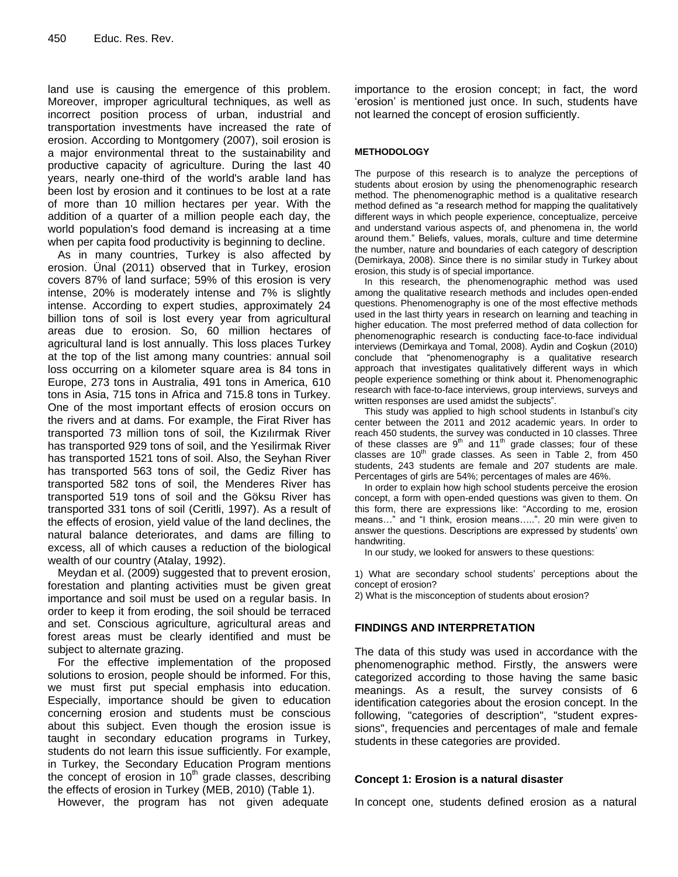land use is causing the emergence of this problem. Moreover, improper agricultural techniques, as well as incorrect position process of urban, industrial and transportation investments have increased the rate of erosion. According to Montgomery (2007), soil erosion is a major environmental threat to the sustainability and productive capacity of agriculture. During the last 40 years, nearly one-third of the world's arable land has been lost by erosion and it continues to be lost at a rate of more than 10 million hectares per year. With the addition of a quarter of a million people each day, the world population's food demand is increasing at a time when per capita food productivity is beginning to decline.

As in many countries, Turkey is also affected by erosion. Ünal (2011) observed that in Turkey, erosion covers 87% of land surface; 59% of this erosion is very intense, 20% is moderately intense and 7% is slightly intense. According to expert studies, approximately 24 billion tons of soil is lost every year from agricultural areas due to erosion. So, 60 million hectares of agricultural land is lost annually. This loss places Turkey at the top of the list among many countries: annual soil loss occurring on a kilometer square area is 84 tons in Europe, 273 tons in Australia, 491 tons in America, 610 tons in Asia, 715 tons in Africa and 715.8 tons in Turkey. One of the most important effects of erosion occurs on the rivers and at dams. For example, the Firat River has transported 73 million tons of soil, the Kızılırmak River has transported 929 tons of soil, and the Yesilirmak River has transported 1521 tons of soil. Also, the Seyhan River has transported 563 tons of soil, the Gediz River has transported 582 tons of soil, the Menderes River has transported 519 tons of soil and the Göksu River has transported 331 tons of soil (Ceritli, 1997). As a result of the effects of erosion, yield value of the land declines, the natural balance deteriorates, and dams are filling to excess, all of which causes a reduction of the biological wealth of our country (Atalay, 1992).

Meydan et al. (2009) suggested that to prevent erosion, forestation and planting activities must be given great importance and soil must be used on a regular basis. In order to keep it from eroding, the soil should be terraced and set. Conscious agriculture, agricultural areas and forest areas must be clearly identified and must be subject to alternate grazing.

For the effective implementation of the proposed solutions to erosion, people should be informed. For this, we must first put special emphasis into education. Especially, importance should be given to education concerning erosion and students must be conscious about this subject. Even though the erosion issue is taught in secondary education programs in Turkey, students do not learn this issue sufficiently. For example, in Turkey, the Secondary Education Program mentions the concept of erosion in  $10<sup>th</sup>$  grade classes, describing the effects of erosion in Turkey (MEB, 2010) (Table 1).

However, the program has not given adequate

importance to the erosion concept; in fact, the word 'erosion' is mentioned just once. In such, students have not learned the concept of erosion sufficiently.

### **METHODOLOGY**

The purpose of this research is to analyze the perceptions of students about erosion by using the phenomenographic research method. The phenomenographic method is a qualitative research method defined as "a research method for mapping the qualitatively different ways in which people experience, conceptualize, perceive and understand various aspects of, and phenomena in, the world around them." Beliefs, values, morals, culture and time determine the number, nature and boundaries of each category of description (Demirkaya, 2008). Since there is no similar study in Turkey about erosion, this study is of special importance.

In this research, the phenomenographic method was used among the qualitative research methods and includes open-ended questions. Phenomenography is one of the most effective methods used in the last thirty years in research on learning and teaching in higher education. The most preferred method of data collection for phenomenographic research is conducting face-to-face individual interviews (Demirkaya and Tomal, 2008). Aydin and Coşkun (2010) conclude that "phenomenography is a qualitative research approach that investigates qualitatively different ways in which people experience something or think about it. Phenomenographic research with face-to-face interviews, group interviews, surveys and written responses are used amidst the subjects".

This study was applied to high school students in Istanbul's city center between the 2011 and 2012 academic years. In order to reach 450 students, the survey was conducted in 10 classes. Three of these classes are  $9<sup>th</sup>$  and  $11<sup>th</sup>$  grade classes; four of these classes are  $10^{th}$  grade classes. As seen in Table 2, from 450 students, 243 students are female and 207 students are male. Percentages of girls are 54%; percentages of males are 46%.

In order to explain how high school students perceive the erosion concept, a form with open-ended questions was given to them. On this form, there are expressions like: "According to me, erosion means…" and "I think, erosion means…..". 20 min were given to answer the questions. Descriptions are expressed by students' own handwriting.

In our study, we looked for answers to these questions:

1) What are secondary school students' perceptions about the concept of erosion?

2) What is the misconception of students about erosion?

# **FINDINGS AND INTERPRETATION**

The data of this study was used in accordance with the phenomenographic method. Firstly, the answers were categorized according to those having the same basic meanings. As a result, the survey consists of 6 identification categories about the erosion concept. In the following, "categories of description", "student expressions", frequencies and percentages of male and female students in these categories are provided.

# **Concept 1: Erosion is a natural disaster**

In concept one, students defined erosion as a natural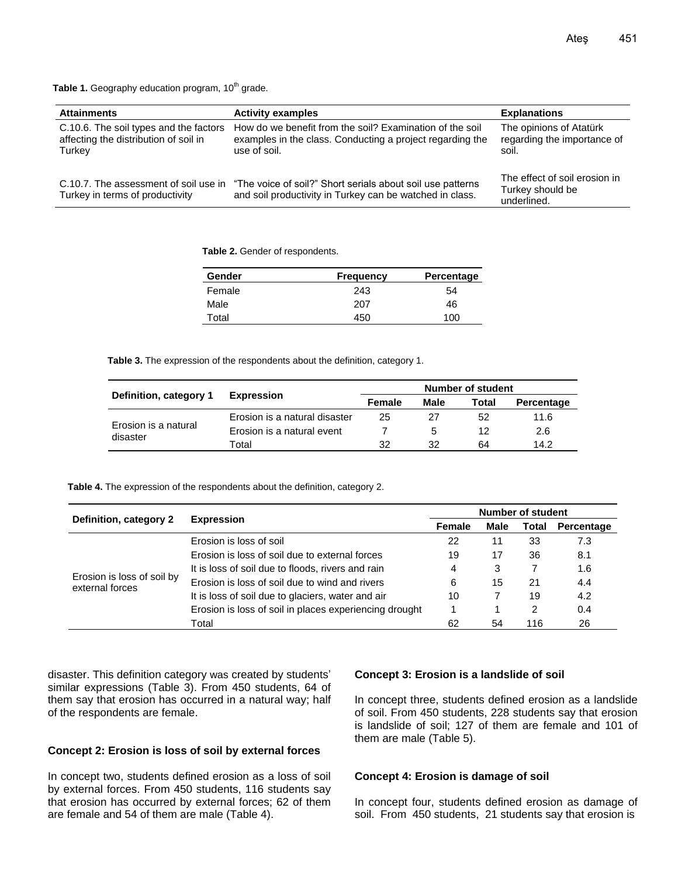**Table 1.** Geography education program, 10<sup>th</sup> grade.

| <b>Attainments</b>                                                                        | <b>Activity examples</b>                                                                                                              | <b>Explanations</b>                                              |
|-------------------------------------------------------------------------------------------|---------------------------------------------------------------------------------------------------------------------------------------|------------------------------------------------------------------|
| C.10.6. The soil types and the factors<br>affecting the distribution of soil in<br>Turkey | How do we benefit from the soil? Examination of the soil<br>examples in the class. Conducting a project regarding the<br>use of soil. | The opinions of Atatürk<br>regarding the importance of<br>soil.  |
| C.10.7. The assessment of soil use in<br>Turkey in terms of productivity                  | "The voice of soil?" Short serials about soil use patterns<br>and soil productivity in Turkey can be watched in class.                | The effect of soil erosion in<br>Turkey should be<br>underlined. |
|                                                                                           |                                                                                                                                       |                                                                  |

**Table 2.** Gender of respondents.

| Gender | <b>Frequency</b> | Percentage |
|--------|------------------|------------|
| Female | 243              | 54         |
| Male   | 207              | 46         |
| Total  | 450              | 100        |

**Table 3.** The expression of the respondents about the definition, category 1.

|                                  | Expression                    | <b>Number of student</b> |      |       |            |  |
|----------------------------------|-------------------------------|--------------------------|------|-------|------------|--|
| Definition, category 1           |                               | Female                   | Male | Total | Percentage |  |
| Erosion is a natural<br>disaster | Erosion is a natural disaster | 25                       | 27   | 52    | 11.6       |  |
|                                  | Erosion is a natural event    |                          | 5    | 12    | 2.6        |  |
|                                  | Total                         | 32                       | 32   | 64    | 14.2       |  |

**Table 4.** The expression of the respondents about the definition, category 2.

|                                               | <b>Expression</b>                                      | <b>Number of student</b> |             |       |            |  |
|-----------------------------------------------|--------------------------------------------------------|--------------------------|-------------|-------|------------|--|
| Definition, category 2                        |                                                        | Female                   | <b>Male</b> | Total | Percentage |  |
|                                               | Erosion is loss of soil                                | 22                       | 11          | 33    | 7.3        |  |
| Erosion is loss of soil by<br>external forces | Erosion is loss of soil due to external forces         | 19                       | 17          | 36    | 8.1        |  |
|                                               | It is loss of soil due to floods, rivers and rain      | 4                        | 3           |       | 1.6        |  |
|                                               | Erosion is loss of soil due to wind and rivers         | 6                        | 15          | 21    | 4.4        |  |
|                                               | It is loss of soil due to glaciers, water and air      | 10                       |             | 19    | 4.2        |  |
|                                               | Erosion is loss of soil in places experiencing drought |                          |             | 2     | 0.4        |  |
|                                               | Total                                                  | 62                       | 54          | 116   | 26         |  |

disaster. This definition category was created by students' similar expressions (Table 3). From 450 students, 64 of them say that erosion has occurred in a natural way; half of the respondents are female.

#### **Concept 2: Erosion is loss of soil by external forces**

In concept two, students defined erosion as a loss of soil by external forces. From 450 students, 116 students say that erosion has occurred by external forces; 62 of them are female and 54 of them are male (Table 4).

#### **Concept 3: Erosion is a landslide of soil**

In concept three, students defined erosion as a landslide of soil. From 450 students, 228 students say that erosion is landslide of soil; 127 of them are female and 101 of them are male (Table 5).

#### **Concept 4: Erosion is damage of soil**

In concept four, students defined erosion as damage of soil. From 450 students, 21 students say that erosion is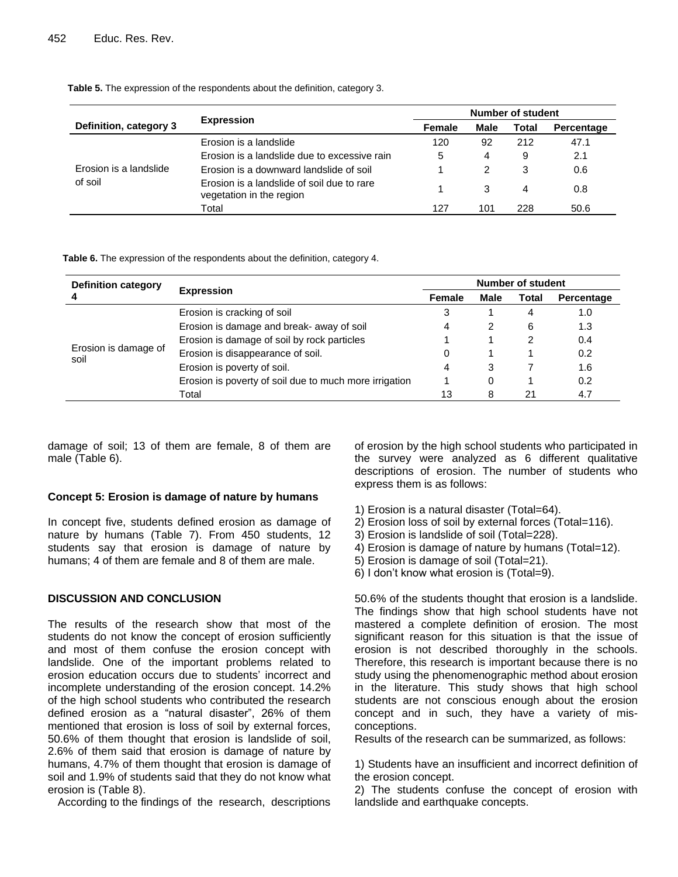|                                   |                                                                        | <b>Number of student</b> |      |       |            |  |
|-----------------------------------|------------------------------------------------------------------------|--------------------------|------|-------|------------|--|
| Definition, category 3            | <b>Expression</b>                                                      | Female                   | Male | Total | Percentage |  |
| Erosion is a landslide<br>of soil | Erosion is a landslide                                                 | 120                      | 92   | 212   | 47.1       |  |
|                                   | Erosion is a landslide due to excessive rain                           | 5                        | 4    | 9     | 2.1        |  |
|                                   | Erosion is a downward landslide of soil                                |                          |      | 3     | 0.6        |  |
|                                   | Erosion is a landslide of soil due to rare<br>vegetation in the region |                          | 3    | 4     | 0.8        |  |
|                                   | Total                                                                  | 127                      | 101  | 228   | 50.6       |  |

**Table 5.** The expression of the respondents about the definition, category 3.

**Table 6.** The expression of the respondents about the definition, category 4.

| <b>Definition category</b>   | <b>Expression</b>                                      | <b>Number of student</b> |             |              |            |  |
|------------------------------|--------------------------------------------------------|--------------------------|-------------|--------------|------------|--|
|                              |                                                        | Female                   | <b>Male</b> | <b>Total</b> | Percentage |  |
| Erosion is damage of<br>soil | Erosion is cracking of soil                            | 3                        |             | 4            | 1.0        |  |
|                              | Erosion is damage and break- away of soil              | 4                        |             | 6            | 1.3        |  |
|                              | Erosion is damage of soil by rock particles            |                          |             | 2            | 0.4        |  |
|                              | Erosion is disappearance of soil.                      |                          |             |              | 0.2        |  |
|                              | Erosion is poverty of soil.                            | 4                        | 3           |              | 1.6        |  |
|                              | Erosion is poverty of soil due to much more irrigation |                          | 0           |              | 0.2        |  |
|                              | Total                                                  | 13                       | 8           | 21           | 4.7        |  |

damage of soil; 13 of them are female, 8 of them are male (Table 6).

# **Concept 5: Erosion is damage of nature by humans**

In concept five, students defined erosion as damage of nature by humans (Table 7). From 450 students, 12 students say that erosion is damage of nature by humans; 4 of them are female and 8 of them are male.

# **DISCUSSION AND CONCLUSION**

The results of the research show that most of the students do not know the concept of erosion sufficiently and most of them confuse the erosion concept with landslide. One of the important problems related to erosion education occurs due to students' incorrect and incomplete understanding of the erosion concept. 14.2% of the high school students who contributed the research defined erosion as a "natural disaster", 26% of them mentioned that erosion is loss of soil by external forces, 50.6% of them thought that erosion is landslide of soil, 2.6% of them said that erosion is damage of nature by humans, 4.7% of them thought that erosion is damage of soil and 1.9% of students said that they do not know what erosion is (Table 8).

According to the findings of the research, descriptions

of erosion by the high school students who participated in the survey were analyzed as 6 different qualitative descriptions of erosion. The number of students who express them is as follows:

- 1) Erosion is a natural disaster (Total=64).
- 2) Erosion loss of soil by external forces (Total=116).
- 3) Erosion is landslide of soil (Total=228).
- 4) Erosion is damage of nature by humans (Total=12).
- 5) Erosion is damage of soil (Total=21).
- 6) I don't know what erosion is (Total=9).

50.6% of the students thought that erosion is a landslide. The findings show that high school students have not mastered a complete definition of erosion. The most significant reason for this situation is that the issue of erosion is not described thoroughly in the schools. Therefore, this research is important because there is no study using the phenomenographic method about erosion in the literature. This study shows that high school students are not conscious enough about the erosion concept and in such, they have a variety of misconceptions.

Results of the research can be summarized, as follows:

1) Students have an insufficient and incorrect definition of the erosion concept.

2) The students confuse the concept of erosion with landslide and earthquake concepts.